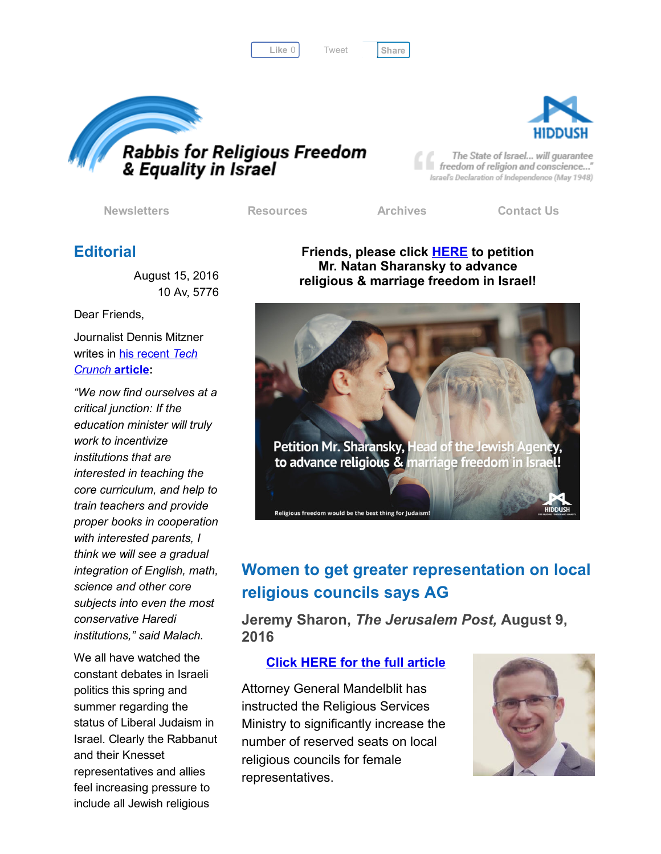Like 0 | Tweet | [Share](javascript:void(0);)

[Tweet](https://twitter.com/intent/tweet?original_referer=http%3A%2F%2Fhosted.verticalresponse.com%2F577764%2Fac00f1fb6a%2F1468721759%2F325ceb4427%2F&ref_src=twsrc%5Etfw&text=RRFEI%20Action%20Alert%3A%20Petition%20Mr.%20Natan%20Sharansky!&tw_p=tweetbutton&url=http%3A%2F%2Fhosted-p0.vresp.com%2F577764%2Fac00f1fb6a%2FARCHIVE%23.V7LZOum5g3Q.twitter)





The State of Israel... will guarantee freedom of religion and conscience..." Israel's Declaration of Independence (May 1948)

[Newsletters](http://cts.vresp.com/c/?FreedomofReligionfor/ac00f1fb6a/325ceb4427/e0c152d8b3) [Resources](http://cts.vresp.com/c/?FreedomofReligionfor/ac00f1fb6a/325ceb4427/111492a34d) [Archives](http://cts.vresp.com/c/?FreedomofReligionfor/ac00f1fb6a/325ceb4427/c40e3e3098) [Contact](http://cts.vresp.com/c/?FreedomofReligionfor/ac00f1fb6a/325ceb4427/f234dbb2f9) Us

## **Editorial**

August 15, 2016 10 Av, 5776

Dear Friends,

Journalist Dennis Mitzner writes in his recent *Tech Crunch* [article:](http://cts.vresp.com/c/?FreedomofReligionfor/ac00f1fb6a/325ceb4427/6237e3c7b8)

*"We now find ourselves at a critical junction: If the education minister will truly work to incentivize institutions that are interested in teaching the core curriculum, and help to train teachers and provide proper books in cooperation with interested parents, I think we will see a gradual integration of English, math, science and other core subjects into even the most conservative Haredi institutions," said Malach.*

We all have watched the constant debates in Israeli politics this spring and summer regarding the status of Liberal Judaism in Israel. Clearly the Rabbanut and their Knesset representatives and allies feel increasing pressure to include all Jewish religious

Friends, please click **[HERE](http://cts.vresp.com/c/?FreedomofReligionfor/ac00f1fb6a/325ceb4427/eb2d0972b1/id=2925)** to petition Mr. Natan Sharansky to advance religious & marriage freedom in Israel!



# Women to get greater representation on local religious councils says AG

Jeremy Sharon, *The Jerusalem Post,* August 9, 2016

#### Click HERE for the full [article](http://cts.vresp.com/c/?FreedomofReligionfor/ac00f1fb6a/325ceb4427/5360704fec)

Attorney General Mandelblit has instructed the Religious Services Ministry to significantly increase the number of reserved seats on local religious councils for female representatives.

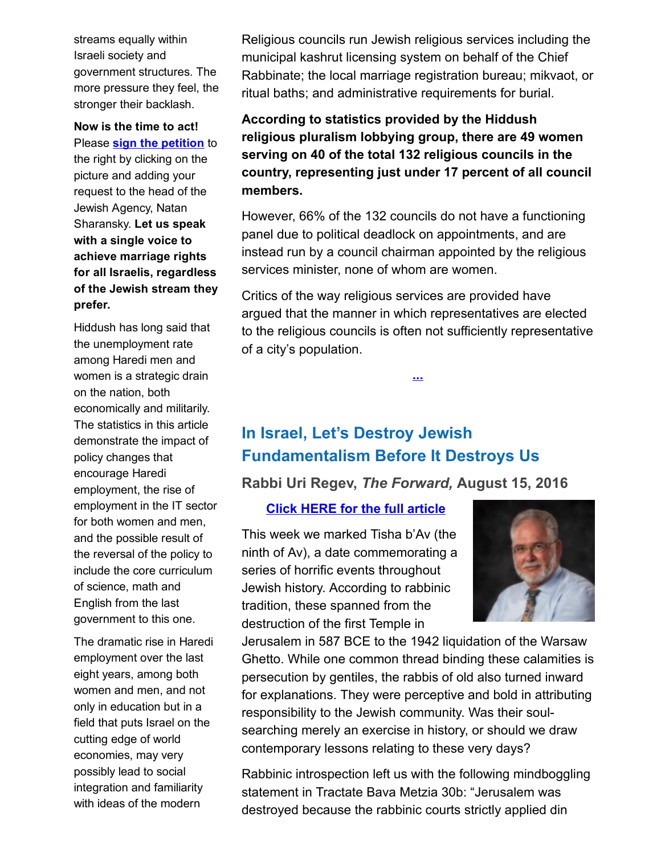streams equally within Israeli society and government structures. The more pressure they feel, the stronger their backlash.

Now is the time to act! Please **sign the [petition](http://cts.vresp.com/c/?FreedomofReligionfor/ac00f1fb6a/325ceb4427/4453f22b01/id=2925)** to

the right by clicking on the picture and adding your request to the head of the Jewish Agency, Natan Sharansky. Let us speak with a single voice to achieve marriage rights for all Israelis, regardless of the Jewish stream they prefer.

Hiddush has long said that the unemployment rate among Haredi men and women is a strategic drain on the nation, both economically and militarily. The statistics in this article demonstrate the impact of policy changes that encourage Haredi employment, the rise of employment in the IT sector for both women and men, and the possible result of the reversal of the policy to include the core curriculum of science, math and English from the last government to this one.

The dramatic rise in Haredi employment over the last eight years, among both women and men, and not only in education but in a field that puts Israel on the cutting edge of world economies, may very possibly lead to social integration and familiarity with ideas of the modern

Religious councils run Jewish religious services including the municipal kashrut licensing system on behalf of the Chief Rabbinate; the local marriage registration bureau; mikvaot, or ritual baths; and administrative requirements for burial.

According to statistics provided by the Hiddush religious pluralism lobbying group, there are 49 women serving on 40 of the total 132 religious councils in the country, representing just under 17 percent of all council members.

However, 66% of the 132 councils do not have a functioning panel due to political deadlock on appointments, and are instead run by a council chairman appointed by the religious services minister, none of whom are women.

Critics of the way religious services are provided have argued that the manner in which representatives are elected to the religious councils is often not sufficiently representative of a city's population.

[...](http://cts.vresp.com/c/?FreedomofReligionfor/ac00f1fb6a/325ceb4427/876f218880)

# In Israel, Let's Destroy Jewish Fundamentalism Before It Destroys Us

Rabbi Uri Regev, *The Forward,* August 15, 2016

Click HERE for the full [article](http://cts.vresp.com/c/?FreedomofReligionfor/ac00f1fb6a/325ceb4427/c44ea87718)

This week we marked Tisha b'Av (the ninth of Av), a date commemorating a series of horrific events throughout Jewish history. According to rabbinic tradition, these spanned from the destruction of the first Temple in



Jerusalem in 587 BCE to the 1942 liquidation of the Warsaw Ghetto. While one common thread binding these calamities is persecution by gentiles, the rabbis of old also turned inward for explanations. They were perceptive and bold in attributing responsibility to the Jewish community. Was their soulsearching merely an exercise in history, or should we draw contemporary lessons relating to these very days?

Rabbinic introspection left us with the following mindboggling statement in Tractate Bava Metzia 30b: "Jerusalem was destroyed because the rabbinic courts strictly applied din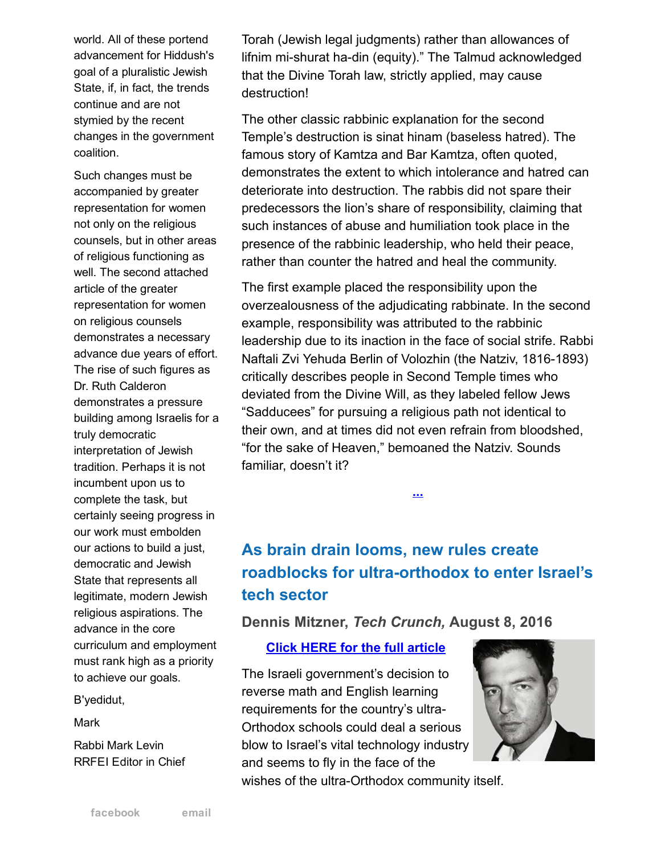world. All of these portend advancement for Hiddush's goal of a pluralistic Jewish State, if, in fact, the trends continue and are not stymied by the recent changes in the government coalition.

Such changes must be accompanied by greater representation for women not only on the religious counsels, but in other areas of religious functioning as well. The second attached article of the greater representation for women on religious counsels demonstrates a necessary advance due years of effort. The rise of such figures as Dr. Ruth Calderon demonstrates a pressure building among Israelis for a truly democratic interpretation of Jewish tradition. Perhaps it is not incumbent upon us to complete the task, but certainly seeing progress in our work must embolden our actions to build a just, democratic and Jewish State that represents all legitimate, modern Jewish religious aspirations. The advance in the core curriculum and employment must rank high as a priority to achieve our goals.

B'yedidut,

**Mark** 

Rabbi Mark Levin RRFEI Editor in Chief

Torah (Jewish legal judgments) rather than allowances of lifnim mi-shurat ha-din (equity)." The Talmud acknowledged that the Divine Torah law, strictly applied, may cause destruction!

The other classic rabbinic explanation for the second Temple's destruction is sinat hinam (baseless hatred). The famous story of Kamtza and Bar Kamtza, often quoted, demonstrates the extent to which intolerance and hatred can deteriorate into destruction. The rabbis did not spare their predecessors the lion's share of responsibility, claiming that such instances of abuse and humiliation took place in the presence of the rabbinic leadership, who held their peace, rather than counter the hatred and heal the community.

The first example placed the responsibility upon the overzealousness of the adjudicating rabbinate. In the second example, responsibility was attributed to the rabbinic leadership due to its inaction in the face of social strife. Rabbi Naftali Zvi Yehuda Berlin of Volozhin (the Natziv, 1816-1893) critically describes people in Second Temple times who deviated from the Divine Will, as they labeled fellow Jews "Sadducees" for pursuing a religious path not identical to their own, and at times did not even refrain from bloodshed, "for the sake of Heaven," bemoaned the Natziv. Sounds familiar, doesn't it?

# As brain drain looms, new rules create roadblocks for ultra-orthodox to enter Israel's tech sector

[...](http://cts.vresp.com/c/?FreedomofReligionfor/ac00f1fb6a/325ceb4427/e9e74bf9c6)

### Dennis Mitzner, *Tech Crunch,* August 8, 2016

#### Click HERE for the full [article](http://cts.vresp.com/c/?FreedomofReligionfor/ac00f1fb6a/325ceb4427/5e868339c6)

The Israeli government's decision to reverse math and English learning requirements for the country's ultra-Orthodox schools could deal a serious blow to Israel's vital technology industry and seems to fly in the face of the

wishes of the ultra-Orthodox community itself.

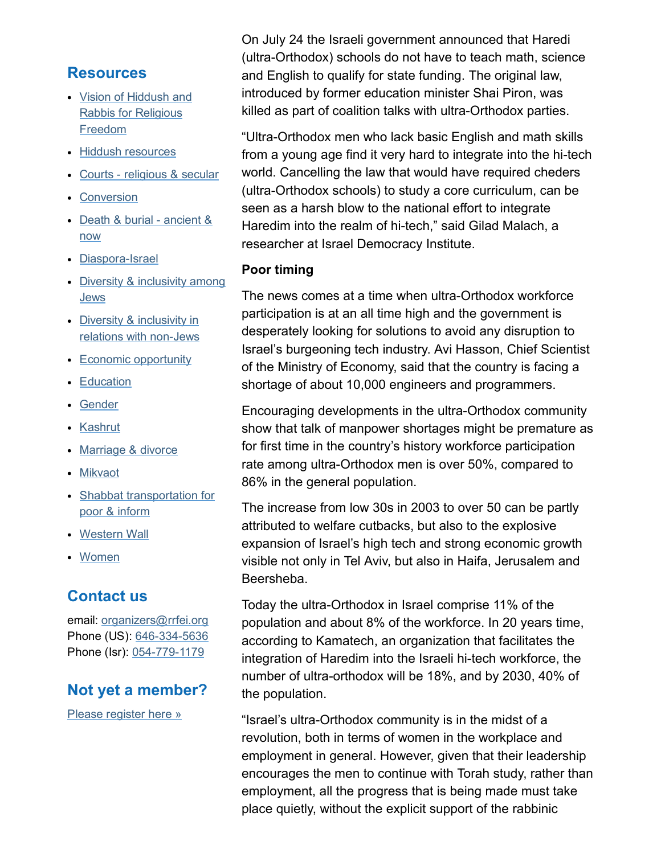### **Resources**

- Vision of Hiddush and Rabbis for [Religious](http://cts.vresp.com/c/?FreedomofReligionfor/ac00f1fb6a/325ceb4427/8c2ca67f7f) Freedom
- Hiddush [resources](http://cts.vresp.com/c/?FreedomofReligionfor/ac00f1fb6a/325ceb4427/e857bfeb88)
- Courts [religious](http://cts.vresp.com/c/?FreedomofReligionfor/ac00f1fb6a/325ceb4427/8f359acdf7) & secular
- [Conversion](http://cts.vresp.com/c/?FreedomofReligionfor/ac00f1fb6a/325ceb4427/e9388a8502)
- Death & burial [ancient](http://cts.vresp.com/c/?FreedomofReligionfor/ac00f1fb6a/325ceb4427/50b8106379) & now
- Diaspora-Israel
- Diversity & [inclusivity](http://cts.vresp.com/c/?FreedomofReligionfor/ac00f1fb6a/325ceb4427/07739792c8) among Jews
- Diversity & inclusivity in relations with non-Jews
- Economic [opportunity](http://cts.vresp.com/c/?FreedomofReligionfor/ac00f1fb6a/325ceb4427/1b3e6b1e0f)
- [Education](http://cts.vresp.com/c/?FreedomofReligionfor/ac00f1fb6a/325ceb4427/00f2650e98)
- [Gender](http://cts.vresp.com/c/?FreedomofReligionfor/ac00f1fb6a/325ceb4427/9cc12f4725)
- [Kashrut](http://cts.vresp.com/c/?FreedomofReligionfor/ac00f1fb6a/325ceb4427/eadd7f1e17)
- [Marriage](http://cts.vresp.com/c/?FreedomofReligionfor/ac00f1fb6a/325ceb4427/7130bdb6b5) & divorce
- [Mikvaot](http://cts.vresp.com/c/?FreedomofReligionfor/ac00f1fb6a/325ceb4427/09f9d60215)
- Shabbat [transportation](http://cts.vresp.com/c/?FreedomofReligionfor/ac00f1fb6a/325ceb4427/a7bff7f442) for poor & inform
- [Western](http://cts.vresp.com/c/?FreedomofReligionfor/ac00f1fb6a/325ceb4427/4b84e5e572) Wall
- [Women](http://cts.vresp.com/c/?FreedomofReligionfor/ac00f1fb6a/325ceb4427/605449da8a)

### Contact us

email: [organizers@rrfei.org](mailto:organizers@rrfei.org) Phone (US): 646-334-5636 Phone (Isr): 054-779-1179

### Not yet a member?

Please [register](http://cts.vresp.com/c/?FreedomofReligionfor/ac00f1fb6a/325ceb4427/80d22cc6e8) here »

On July 24 the Israeli government announced that Haredi (ultra-Orthodox) schools do not have to teach math, science and English to qualify for state funding. The original law, introduced by former education minister Shai Piron, was killed as part of coalition talks with ultra-Orthodox parties.

"Ultra-Orthodox men who lack basic English and math skills from a young age find it very hard to integrate into the hi-tech world. Cancelling the law that would have required cheders (ultra-Orthodox schools) to study a core curriculum, can be seen as a harsh blow to the national effort to integrate Haredim into the realm of hi-tech," said Gilad Malach, a researcher at Israel Democracy Institute.

#### Poor timing

The news comes at a time when ultra-Orthodox workforce participation is at an all time high and the government is desperately looking for solutions to avoid any disruption to Israel's burgeoning tech industry. Avi Hasson, Chief Scientist of the Ministry of Economy, said that the country is facing a shortage of about 10,000 engineers and programmers.

Encouraging developments in the ultra-Orthodox community show that talk of manpower shortages might be premature as for first time in the country's history workforce participation rate among ultra-Orthodox men is over 50%, compared to 86% in the general population.

The increase from low 30s in 2003 to over 50 can be partly attributed to welfare cutbacks, but also to the explosive expansion of Israel's high tech and strong economic growth visible not only in Tel Aviv, but also in Haifa, Jerusalem and Beersheba.

Today the ultra-Orthodox in Israel comprise 11% of the population and about 8% of the workforce. In 20 years time, according to Kamatech, an organization that facilitates the integration of Haredim into the Israeli hi-tech workforce, the number of ultra-orthodox will be 18%, and by 2030, 40% of the population.

"Israel's ultra-Orthodox community is in the midst of a revolution, both in terms of women in the workplace and employment in general. However, given that their leadership encourages the men to continue with Torah study, rather than employment, all the progress that is being made must take place quietly, without the explicit support of the rabbinic